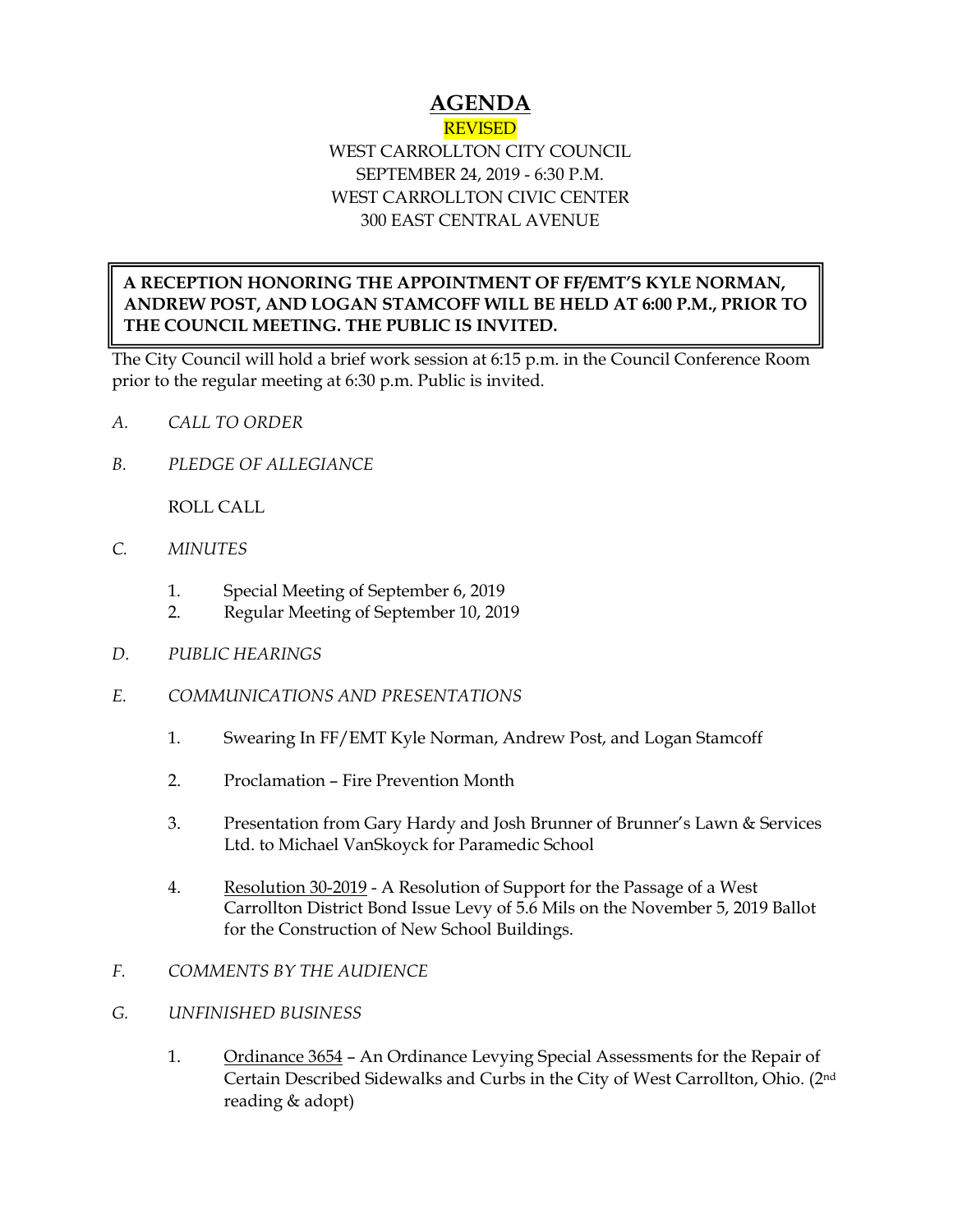## **AGENDA**

## REVISED WEST CARROLLTON CITY COUNCIL SEPTEMBER 24, 2019 - 6:30 P.M. WEST CARROLLTON CIVIC CENTER 300 EAST CENTRAL AVENUE

## **A RECEPTION HONORING THE APPOINTMENT OF FF/EMT'S KYLE NORMAN, ANDREW POST, AND LOGAN STAMCOFF WILL BE HELD AT 6:00 P.M., PRIOR TO THE COUNCIL MEETING. THE PUBLIC IS INVITED.**

The City Council will hold a brief work session at 6:15 p.m. in the Council Conference Room prior to the regular meeting at 6:30 p.m. Public is invited.

- *A. CALL TO ORDER*
- *B. PLEDGE OF ALLEGIANCE*

ROLL CALL

- *C. MINUTES* 
	- 1. Special Meeting of September 6, 2019
	- 2. Regular Meeting of September 10, 2019
- *D. PUBLIC HEARINGS*
- *E. COMMUNICATIONS AND PRESENTATIONS* 
	- 1. Swearing In FF/EMT Kyle Norman, Andrew Post, and Logan Stamcoff
	- 2. Proclamation Fire Prevention Month
	- 3. Presentation from Gary Hardy and Josh Brunner of Brunner's Lawn & Services Ltd. to Michael VanSkoyck for Paramedic School
	- 4. Resolution 30-2019 A Resolution of Support for the Passage of a West Carrollton District Bond Issue Levy of 5.6 Mils on the November 5, 2019 Ballot for the Construction of New School Buildings.
- *F. COMMENTS BY THE AUDIENCE*
- *G. UNFINISHED BUSINESS*
	- 1. Ordinance 3654 An Ordinance Levying Special Assessments for the Repair of Certain Described Sidewalks and Curbs in the City of West Carrollton, Ohio. (2nd reading & adopt)